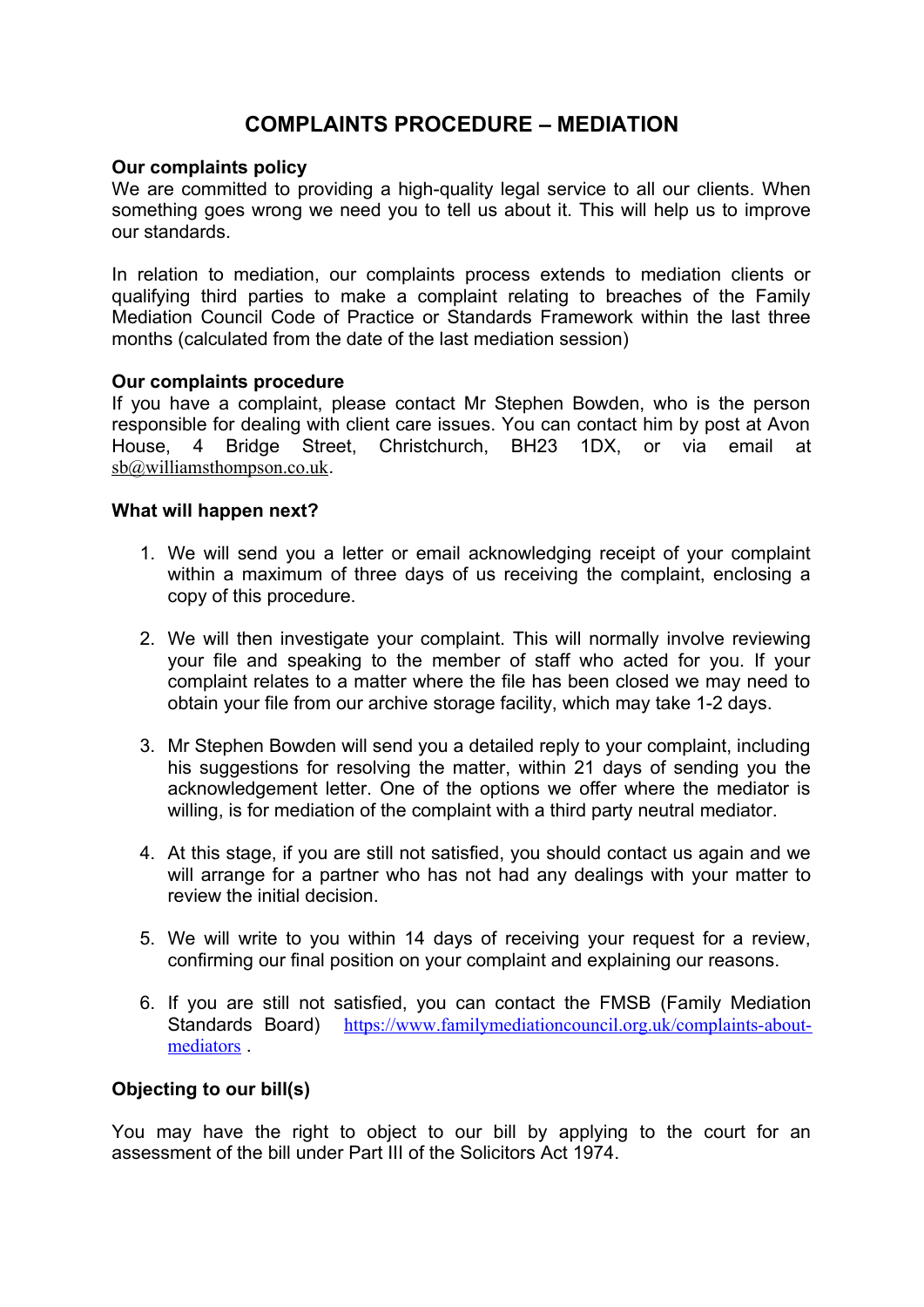# **COMPLAINTS PROCEDURE – MEDIATION**

#### **Our complaints policy**

We are committed to providing a high-quality legal service to all our clients. When something goes wrong we need you to tell us about it. This will help us to improve our standards.

In relation to mediation, our complaints process extends to mediation clients or qualifying third parties to make a complaint relating to breaches of the Family Mediation Council Code of Practice or Standards Framework within the last three months (calculated from the date of the last mediation session)

#### **Our complaints procedure**

If you have a complaint, please contact Mr Stephen Bowden, who is the person responsible for dealing with client care issues. You can contact him by post at Avon House, 4 Bridge Street, Christchurch, BH23 1DX, or via email at [sb@williamsthompson.co.uk](mailto:sb@williamsthompson.co.uk).

#### **What will happen next?**

- 1. We will send you a letter or email acknowledging receipt of your complaint within a maximum of three days of us receiving the complaint, enclosing a copy of this procedure.
- 2. We will then investigate your complaint. This will normally involve reviewing your file and speaking to the member of staff who acted for you. If your complaint relates to a matter where the file has been closed we may need to obtain your file from our archive storage facility, which may take 1-2 days.
- 3. Mr Stephen Bowden will send you a detailed reply to your complaint, including his suggestions for resolving the matter, within 21 days of sending you the acknowledgement letter. One of the options we offer where the mediator is willing, is for mediation of the complaint with a third party neutral mediator.
- 4. At this stage, if you are still not satisfied, you should contact us again and we will arrange for a partner who has not had any dealings with your matter to review the initial decision.
- 5. We will write to you within 14 days of receiving your request for a review, confirming our final position on your complaint and explaining our reasons.
- 6. If you are still not satisfied, you can contact the FMSB (Family Mediation Standards Board) [https://www.familymediationcouncil.org.uk/complaints-about](https://www.familymediationcouncil.org.uk/complaints-about-mediators)[mediators](https://www.familymediationcouncil.org.uk/complaints-about-mediators) .

## **Objecting to our bill(s)**

You may have the right to object to our bill by applying to the court for an assessment of the bill under Part III of the Solicitors Act 1974.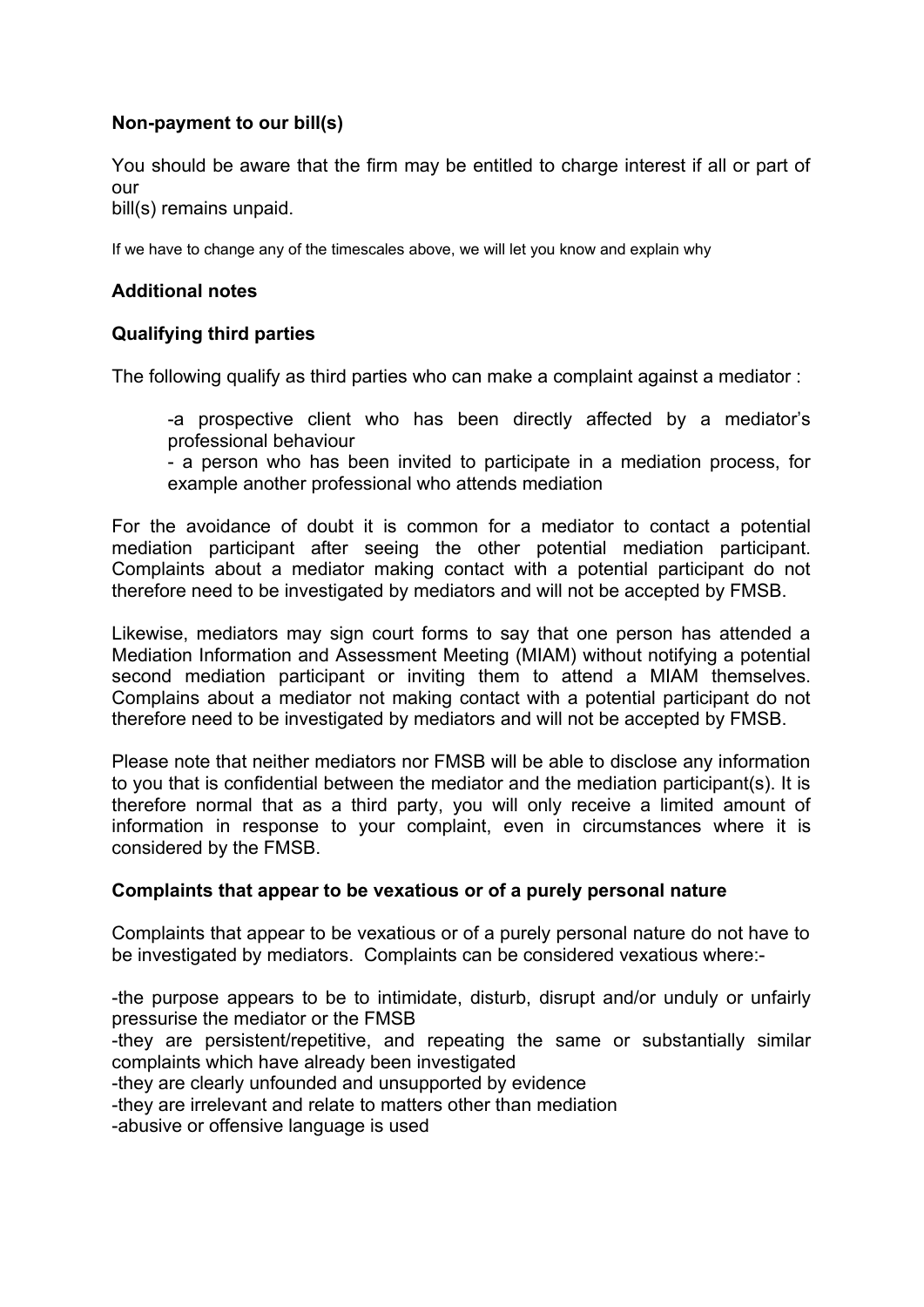## **Non-payment to our bill(s)**

You should be aware that the firm may be entitled to charge interest if all or part of our

bill(s) remains unpaid.

If we have to change any of the timescales above, we will let you know and explain why

## **Additional notes**

## **Qualifying third parties**

The following qualify as third parties who can make a complaint against a mediator :

-a prospective client who has been directly affected by a mediator's professional behaviour

- a person who has been invited to participate in a mediation process, for example another professional who attends mediation

For the avoidance of doubt it is common for a mediator to contact a potential mediation participant after seeing the other potential mediation participant. Complaints about a mediator making contact with a potential participant do not therefore need to be investigated by mediators and will not be accepted by FMSB.

Likewise, mediators may sign court forms to say that one person has attended a Mediation Information and Assessment Meeting (MIAM) without notifying a potential second mediation participant or inviting them to attend a MIAM themselves. Complains about a mediator not making contact with a potential participant do not therefore need to be investigated by mediators and will not be accepted by FMSB.

Please note that neither mediators nor FMSB will be able to disclose any information to you that is confidential between the mediator and the mediation participant(s). It is therefore normal that as a third party, you will only receive a limited amount of information in response to your complaint, even in circumstances where it is considered by the FMSB.

## **Complaints that appear to be vexatious or of a purely personal nature**

Complaints that appear to be vexatious or of a purely personal nature do not have to be investigated by mediators. Complaints can be considered vexatious where:-

-the purpose appears to be to intimidate, disturb, disrupt and/or unduly or unfairly pressurise the mediator or the FMSB -they are persistent/repetitive, and repeating the same or substantially similar complaints which have already been investigated -they are clearly unfounded and unsupported by evidence -they are irrelevant and relate to matters other than mediation -abusive or offensive language is used